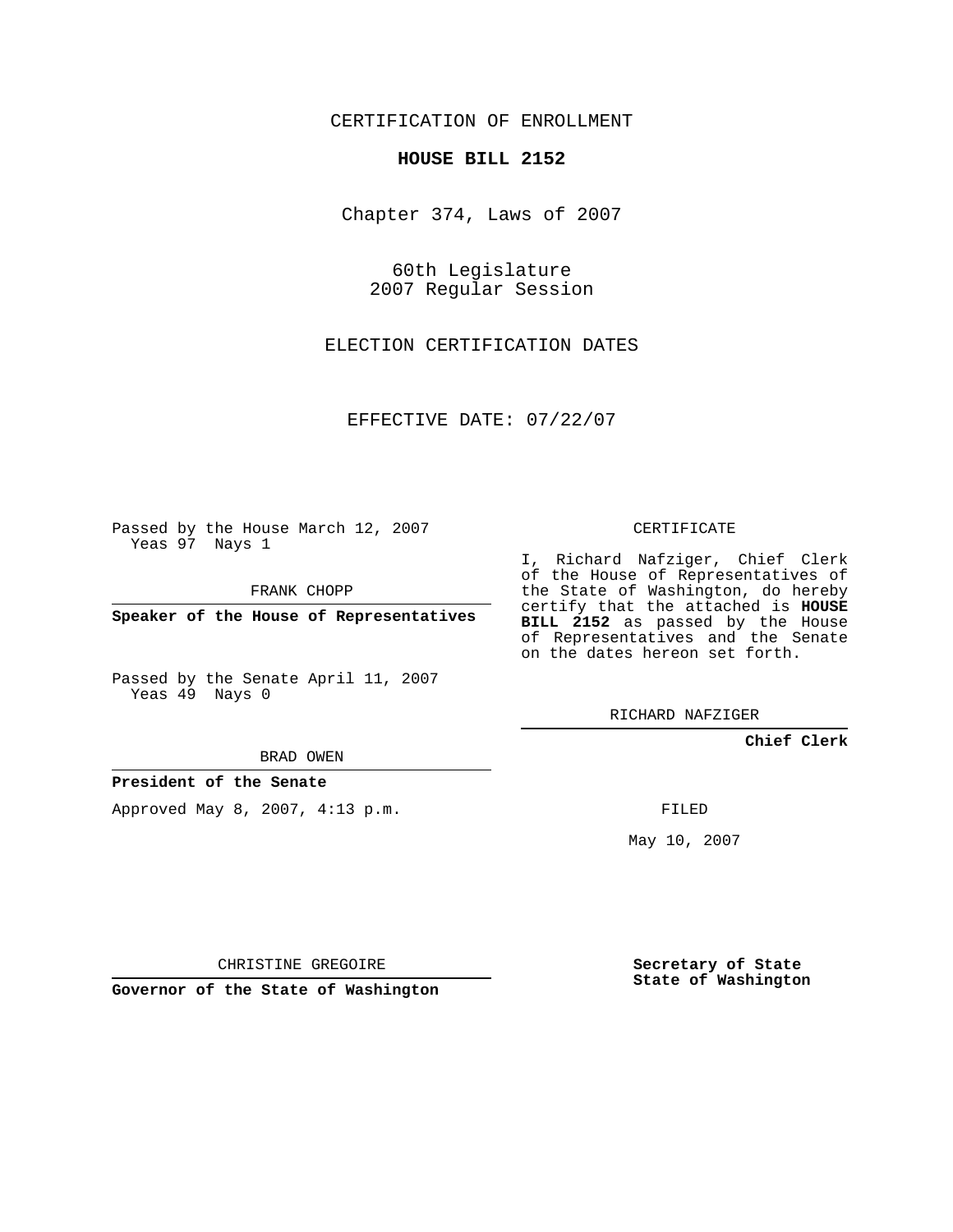CERTIFICATION OF ENROLLMENT

## **HOUSE BILL 2152**

Chapter 374, Laws of 2007

60th Legislature 2007 Regular Session

ELECTION CERTIFICATION DATES

EFFECTIVE DATE: 07/22/07

Passed by the House March 12, 2007 Yeas 97 Nays 1

FRANK CHOPP

**Speaker of the House of Representatives**

Passed by the Senate April 11, 2007 Yeas 49 Nays 0

BRAD OWEN

**President of the Senate**

Approved May 8, 2007, 4:13 p.m.

CERTIFICATE

I, Richard Nafziger, Chief Clerk of the House of Representatives of the State of Washington, do hereby certify that the attached is **HOUSE BILL 2152** as passed by the House of Representatives and the Senate on the dates hereon set forth.

RICHARD NAFZIGER

**Chief Clerk**

FILED

May 10, 2007

**Secretary of State State of Washington**

CHRISTINE GREGOIRE

**Governor of the State of Washington**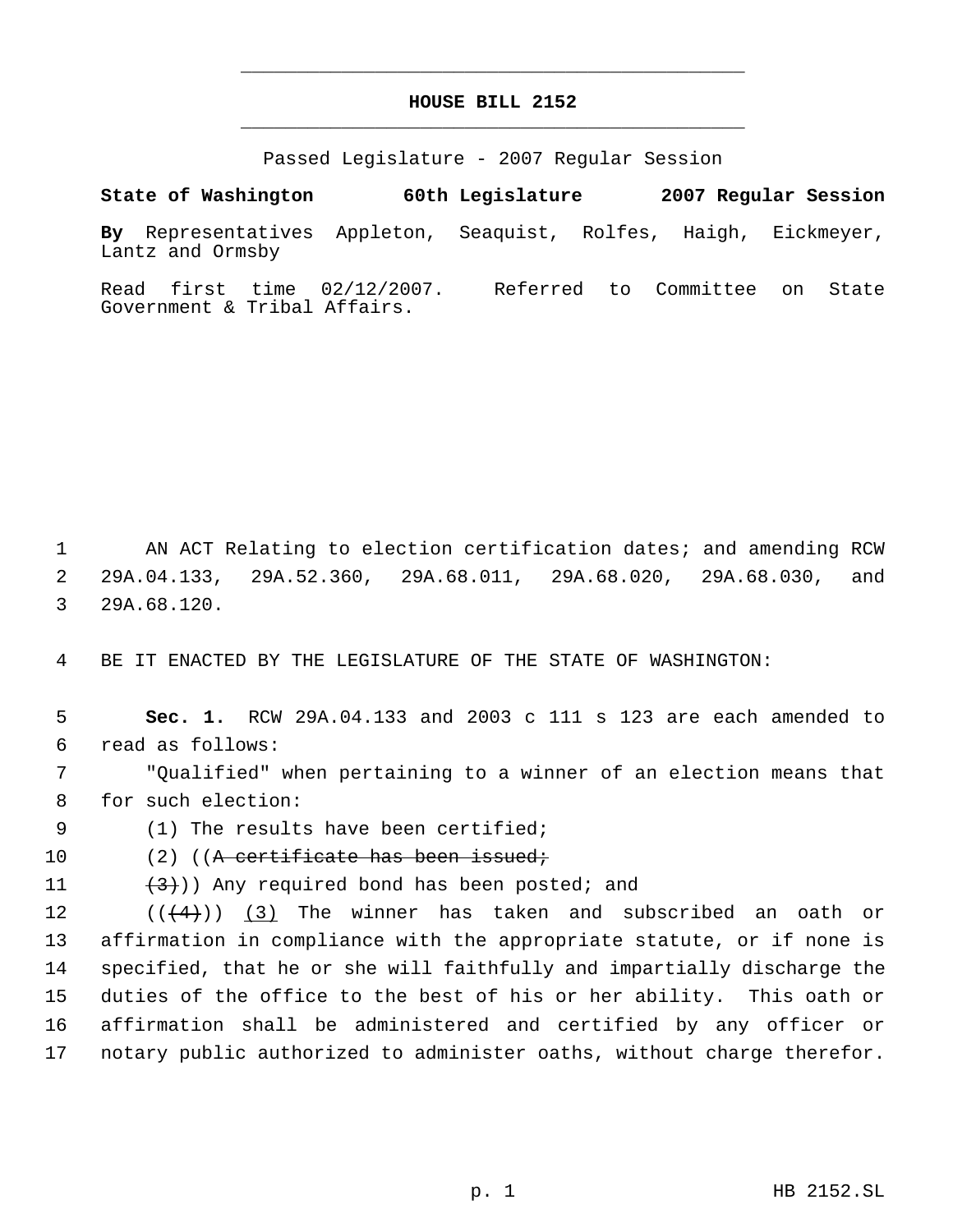## **HOUSE BILL 2152** \_\_\_\_\_\_\_\_\_\_\_\_\_\_\_\_\_\_\_\_\_\_\_\_\_\_\_\_\_\_\_\_\_\_\_\_\_\_\_\_\_\_\_\_\_

\_\_\_\_\_\_\_\_\_\_\_\_\_\_\_\_\_\_\_\_\_\_\_\_\_\_\_\_\_\_\_\_\_\_\_\_\_\_\_\_\_\_\_\_\_

Passed Legislature - 2007 Regular Session

**State of Washington 60th Legislature 2007 Regular Session**

**By** Representatives Appleton, Seaquist, Rolfes, Haigh, Eickmeyer, Lantz and Ormsby

Read first time 02/12/2007. Referred to Committee on State Government & Tribal Affairs.

1 AN ACT Relating to election certification dates; and amending RCW 2 29A.04.133, 29A.52.360, 29A.68.011, 29A.68.020, 29A.68.030, and 3 29A.68.120.

4 BE IT ENACTED BY THE LEGISLATURE OF THE STATE OF WASHINGTON:

 5 **Sec. 1.** RCW 29A.04.133 and 2003 c 111 s 123 are each amended to 6 read as follows:

 7 "Qualified" when pertaining to a winner of an election means that 8 for such election:

9 (1) The results have been certified;

10 (2) ((A certificate has been issued;

11  $(3)$ ) Any required bond has been posted; and

 $((\langle 4 \rangle) )$  (3) The winner has taken and subscribed an oath or affirmation in compliance with the appropriate statute, or if none is specified, that he or she will faithfully and impartially discharge the duties of the office to the best of his or her ability. This oath or affirmation shall be administered and certified by any officer or notary public authorized to administer oaths, without charge therefor.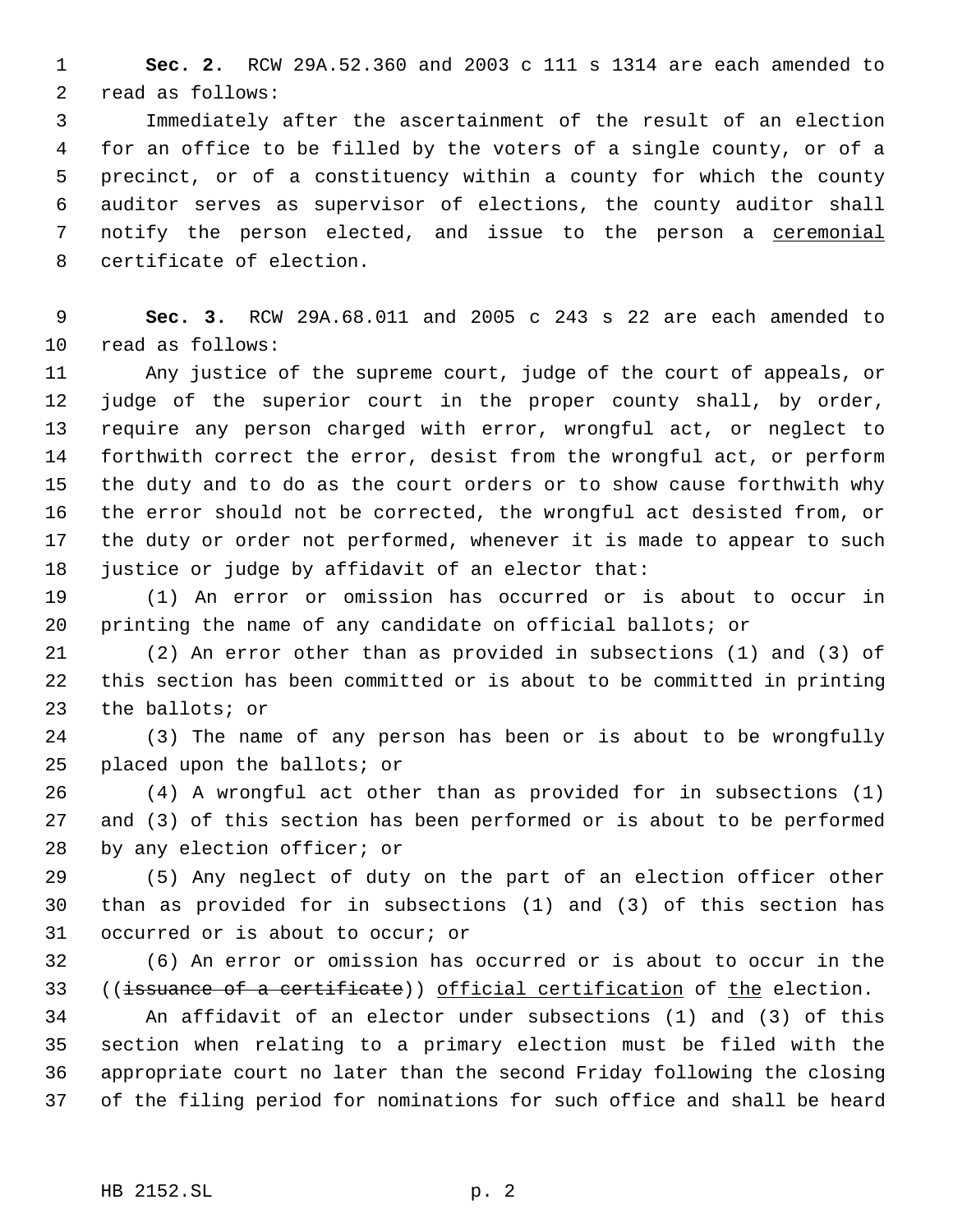**Sec. 2.** RCW 29A.52.360 and 2003 c 111 s 1314 are each amended to read as follows:

 Immediately after the ascertainment of the result of an election for an office to be filled by the voters of a single county, or of a precinct, or of a constituency within a county for which the county auditor serves as supervisor of elections, the county auditor shall 7 notify the person elected, and issue to the person a ceremonial certificate of election.

 **Sec. 3.** RCW 29A.68.011 and 2005 c 243 s 22 are each amended to read as follows:

 Any justice of the supreme court, judge of the court of appeals, or judge of the superior court in the proper county shall, by order, require any person charged with error, wrongful act, or neglect to forthwith correct the error, desist from the wrongful act, or perform the duty and to do as the court orders or to show cause forthwith why the error should not be corrected, the wrongful act desisted from, or the duty or order not performed, whenever it is made to appear to such 18 justice or judge by affidavit of an elector that:

 (1) An error or omission has occurred or is about to occur in printing the name of any candidate on official ballots; or

 (2) An error other than as provided in subsections (1) and (3) of this section has been committed or is about to be committed in printing the ballots; or

 (3) The name of any person has been or is about to be wrongfully placed upon the ballots; or

 (4) A wrongful act other than as provided for in subsections (1) and (3) of this section has been performed or is about to be performed by any election officer; or

 (5) Any neglect of duty on the part of an election officer other than as provided for in subsections (1) and (3) of this section has occurred or is about to occur; or

 (6) An error or omission has occurred or is about to occur in the 33 ((issuance of a certificate)) official certification of the election.

 An affidavit of an elector under subsections (1) and (3) of this section when relating to a primary election must be filed with the appropriate court no later than the second Friday following the closing of the filing period for nominations for such office and shall be heard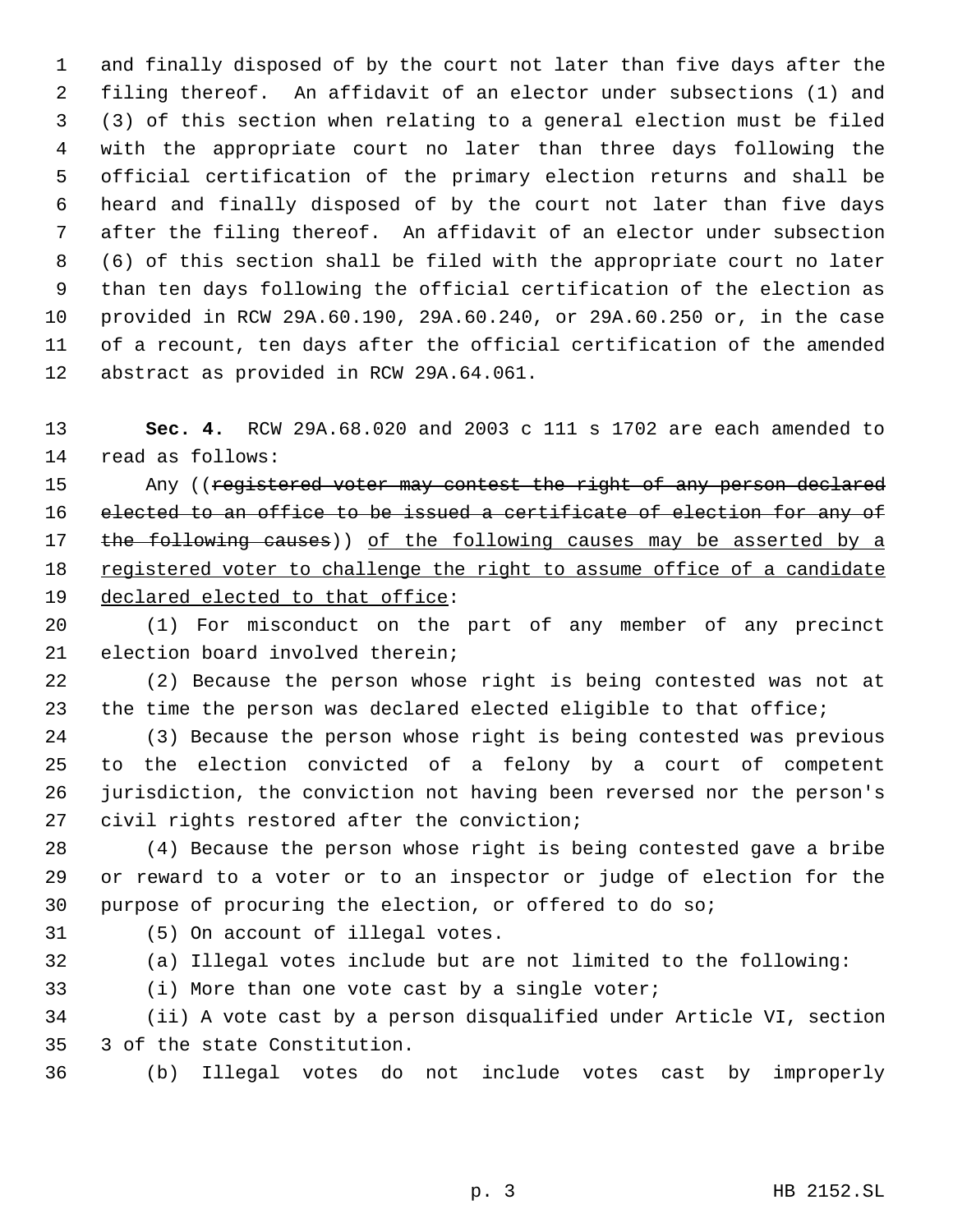and finally disposed of by the court not later than five days after the filing thereof. An affidavit of an elector under subsections (1) and (3) of this section when relating to a general election must be filed with the appropriate court no later than three days following the official certification of the primary election returns and shall be heard and finally disposed of by the court not later than five days after the filing thereof. An affidavit of an elector under subsection (6) of this section shall be filed with the appropriate court no later than ten days following the official certification of the election as provided in RCW 29A.60.190, 29A.60.240, or 29A.60.250 or, in the case of a recount, ten days after the official certification of the amended abstract as provided in RCW 29A.64.061.

 **Sec. 4.** RCW 29A.68.020 and 2003 c 111 s 1702 are each amended to read as follows:

15 Any ((registered voter may contest the right of any person declared elected to an office to be issued a certificate of election for any of 17 the following causes)) of the following causes may be asserted by a registered voter to challenge the right to assume office of a candidate 19 declared elected to that office:

 (1) For misconduct on the part of any member of any precinct election board involved therein;

 (2) Because the person whose right is being contested was not at the time the person was declared elected eligible to that office;

 (3) Because the person whose right is being contested was previous to the election convicted of a felony by a court of competent jurisdiction, the conviction not having been reversed nor the person's civil rights restored after the conviction;

 (4) Because the person whose right is being contested gave a bribe or reward to a voter or to an inspector or judge of election for the purpose of procuring the election, or offered to do so;

(5) On account of illegal votes.

(a) Illegal votes include but are not limited to the following:

(i) More than one vote cast by a single voter;

 (ii) A vote cast by a person disqualified under Article VI, section 3 of the state Constitution.

(b) Illegal votes do not include votes cast by improperly